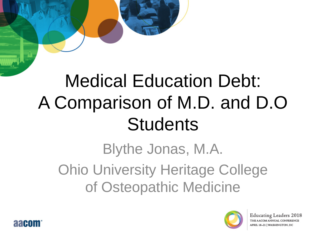# Medical Education Debt: A Comparison of M.D. and D.O **Students**

Blythe Jonas, M.A. Ohio University Heritage College of Osteopathic Medicine



Educating Leaders 2018 THE AACOM ANNUAL CONFERENCE APRIL 18-21 | WASHINGTON, DC

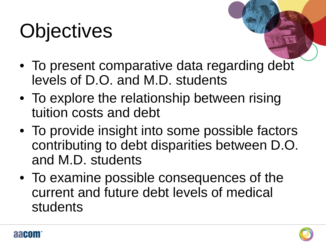# **Objectives**

- To present comparative data regarding debt levels of D.O. and M.D. students
- To explore the relationship between rising tuition costs and debt
- To provide insight into some possible factors contributing to debt disparities between D.O. and M.D. students
- To examine possible consequences of the current and future debt levels of medical students



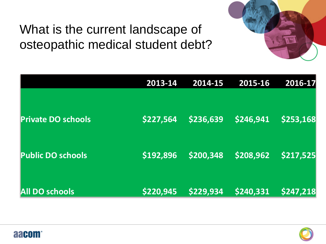#### What is the current landscape of osteopathic medical student debt?

aacom



|                           | 2013-14   | 2014-15   | 2015-16   | 2016-17   |
|---------------------------|-----------|-----------|-----------|-----------|
|                           |           |           |           |           |
| <b>Private DO schools</b> | \$227,564 | \$236,639 | \$246,941 | \$253,168 |
| <b>Public DO schools</b>  | \$192,896 | \$200,348 | \$208,962 | \$217,525 |
| <b>All DO schools</b>     | \$220,945 | \$229,934 | \$240,331 | \$247,218 |

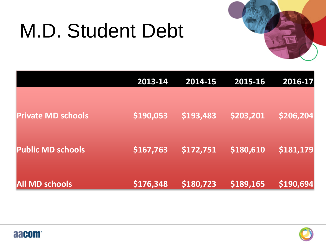# M.D. Student Debt



|                           | 2013-14   | 2014-15   | 2015-16   | 2016-17   |
|---------------------------|-----------|-----------|-----------|-----------|
| <b>Private MD schools</b> | \$190,053 | \$193,483 | \$203,201 | \$206,204 |
| <b>Public MD schools</b>  | \$167,763 | \$172,751 | \$180,610 | \$181,179 |
| <b>All MD schools</b>     | \$176,348 | \$180,723 | \$189,165 | 5190,694  |



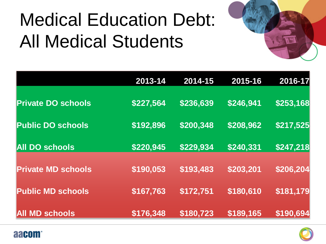# Medical Education Debt: All Medical Students



|                           | 2013-14   | 2014-15   | 2015-16   | 2016-17   |
|---------------------------|-----------|-----------|-----------|-----------|
| <b>Private DO schools</b> | \$227,564 | \$236,639 | \$246,941 | \$253,168 |
| <b>Public DO schools</b>  | \$192,896 | \$200,348 | \$208,962 | \$217,525 |
| <b>All DO schools</b>     | \$220,945 | \$229,934 | \$240,331 | \$247,218 |
| <b>Private MD schools</b> | \$190,053 | \$193,483 | \$203,201 | \$206,204 |
| <b>Public MD schools</b>  | \$167,763 | \$172,751 | \$180,610 | \$181,179 |
| <b>All MD schools</b>     | \$176,348 | \$180,723 | \$189,165 | \$190,694 |



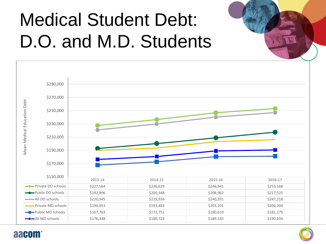# Medical Student Debt: D.O. and M.D. Students





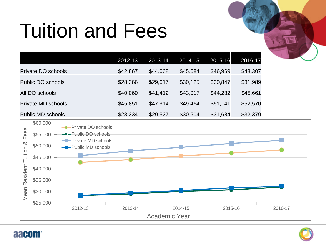# Tuition and Fees

|                    | 2012-13  | 2013-14  | 2014-15  | 2015-16  | 2016-17  |
|--------------------|----------|----------|----------|----------|----------|
| Private DO schools | \$42,867 | \$44,068 | \$45,684 | \$46,969 | \$48,307 |
| Public DO schools  | \$28,366 | \$29,017 | \$30,125 | \$30,847 | \$31,989 |
| All DO schools     | \$40,060 | \$41,412 | \$43,017 | \$44,282 | \$45,661 |
| Private MD schools | \$45,851 | \$47,914 | \$49,464 | \$51,141 | \$52,570 |
| Public MD schools  | \$28,334 | \$29,527 | \$30,504 | \$31,684 | \$32,379 |





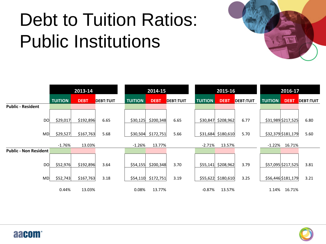# Debt to Tuition Ratios: Public Institutions





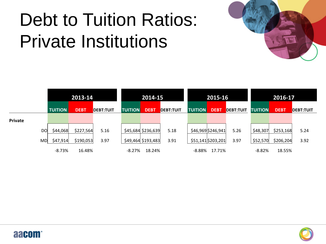# Debt to Tuition Ratios: Private Institutions



|         |           | 2013-14        |             |                  | 2014-15        |                    | 2015-16          |                |                    | 2016-17          |                |             |                  |
|---------|-----------|----------------|-------------|------------------|----------------|--------------------|------------------|----------------|--------------------|------------------|----------------|-------------|------------------|
|         |           | <b>TUITION</b> | <b>DEBT</b> | <b>DEBT:TUIT</b> | <b>TUITION</b> | <b>DEBT</b>        | <b>DEBT:TUIT</b> | <b>TUITION</b> | <b>DEBT</b>        | <b>DEBT:TUIT</b> | <b>TUITION</b> | <b>DEBT</b> | <b>DEBT:TUIT</b> |
| Private |           |                |             |                  |                |                    |                  |                |                    |                  |                |             |                  |
|         | <b>DO</b> | \$44,068       | \$227,564   | 5.16             |                | \$45,684 \$236,639 | 5.18             |                | \$46,969 \$246,941 | 5.26             | \$48,307       | \$253,168   | 5.24             |
|         | MD        | \$47,914       | \$190,053   | 3.97             |                | \$49,464 \$193,483 | 3.91             |                | \$51,141 \$203,201 | 3.97             | \$52,570       | \$206,204   | 3.92             |
|         |           | $-8.73%$       | 16.48%      |                  | -8.27%         | 18.24%             |                  | -8.88%         | 17.71%             |                  | -8.82%         | 18.55%      |                  |



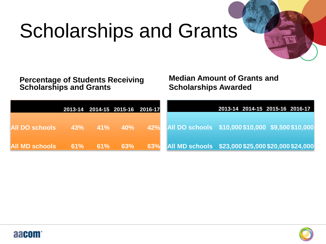# Scholarships and Grants

**Percentage of Students Receiving Scholarships and Grants**

**Median Amount of Grants and Scholarships Awarded**

|                       |     |               | 2013-14 2014-15 2015-16 2016-17 |     | 2013-14 2014-15 2015-16 2016-17                    |  |
|-----------------------|-----|---------------|---------------------------------|-----|----------------------------------------------------|--|
| <b>All DO schools</b> |     | $43\%$ $41\%$ | $-40\%$                         | 42% | All DO schools \$10,000 \$10,000 \$9,500 \$10,000  |  |
| <b>All MD schools</b> | 61% | 61%           | 63%                             | 63% | All MD schools \$23,000 \$25,000 \$20,000 \$24,000 |  |



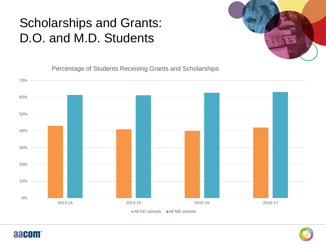#### Scholarships and Grants: D.O. and M.D. Students



Percentage of Students Receiving Grants and Scholarships





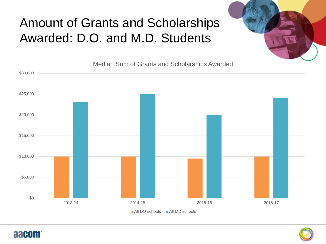#### Amount of Grants and Scholarships Awarded: D.O. and M.D. Students







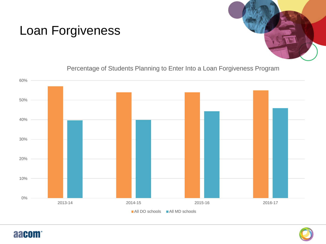

#### Loan Forgiveness

Percentage of Students Planning to Enter Into a Loan Forgiveness Program





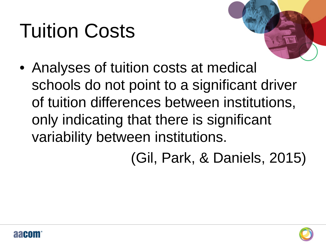# Tuition Costs



• Analyses of tuition costs at medical schools do not point to a significant driver of tuition differences between institutions, only indicating that there is significant variability between institutions.

(Gil, Park, & Daniels, 2015)



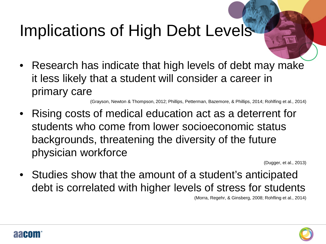### Implications of High Debt Levels

• Research has indicate that high levels of debt may make it less likely that a student will consider a career in primary care

(Grayson, Newton & Thompson, 2012; Phillips, Petterman, Bazemore, & Phillips, 2014; Rohlfing et al., 2014)

• Rising costs of medical education act as a deterrent for students who come from lower socioeconomic status backgrounds, threatening the diversity of the future physician workforce

(Dugger, et al., 2013)

• Studies show that the amount of a student's anticipated debt is correlated with higher levels of stress for students

(Morra, Regehr, & Ginsberg, 2008; Rohfling et al., 2014)



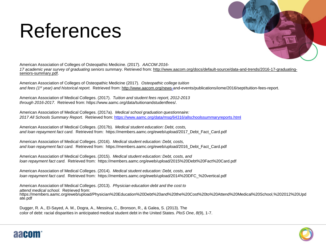## References



American Association of Colleges of Osteopathic Medicine. (2017). *AACOM 2016- 17 academic year survey of graduating seniors summary*. Retrieved from: http://www.aacom.org/docs/default-source/data-and-trends/2016-17-graduating- seniors-summary.pdf.

American Association of Colleges of Osteopathic Medicine (2017). *Osteopathic college tuition and fees (1st year) and historical report.* Retrieved from: http://www.aacom.org/new[s-](http://www.aacom.org/news-)and-events/publications/iome/2016/sept/tuition-fees-report.

American Association of Medical Colleges. (2017). *Tuition and student fees report, 2012-2013 through 2016-2017.* Retrieved from: https://www.aamc.org/data/tuitionandstudentfees/.

American Association of Medical Colleges. (2017a). *Medical school graduation questionnaire: 2017 All Schools Summary Report.* Retrieved from:<https://www.aamc.org/data/msq/64316/allschoolssummaryreports.html>

American Association of Medical Colleges. (2017b). *Medical student education: Debt, costs, and loan repayment fact card.* Retrieved from: https://members.aamc.org/eweb/upload/2017\_Debt\_Fact\_Card.pdf

American Association of Medical Colleges. (2016). *Medical student education: Debt, costs, and loan repayment fact card.* Retrieved from: https://members.aamc.org/eweb/upload/2016\_Debt\_Fact\_Card.pdf

American Association of Medical Colleges. (2015). *Medical student education: Debt, costs, and loan repayment fact card.* Retrieved from: https://members.aamc.org/eweb/upload/2015%20Debt%20Fact%20Card.pdf

American Association of Medical Colleges. (2014). *Medical student education: Debt, costs, and loan repayment fact card.* Retrieved from: https://members.aamc.org/eweb/upload/2014%20DFC\_%20vertical.pdf

American Association of Medical Colleges. (2013). *Physician education debt and the cost to attend medical school*. Retrieved from: https://members.aamc.org/eweb/upload/Physician%20Education%20Debt%20and%20the%20Cost%20to%20Attend%20Medical%20School,%202012%20Upd ate.pdf

Dugger, R. A., El-Sayed, A. M., Dogra, A., Messina, C., Bronson, R., & Galea, S. (2013). The color of debt: racial disparities in anticipated medical student debt in the United States. *PloS One*, *8*(9), 1-7.